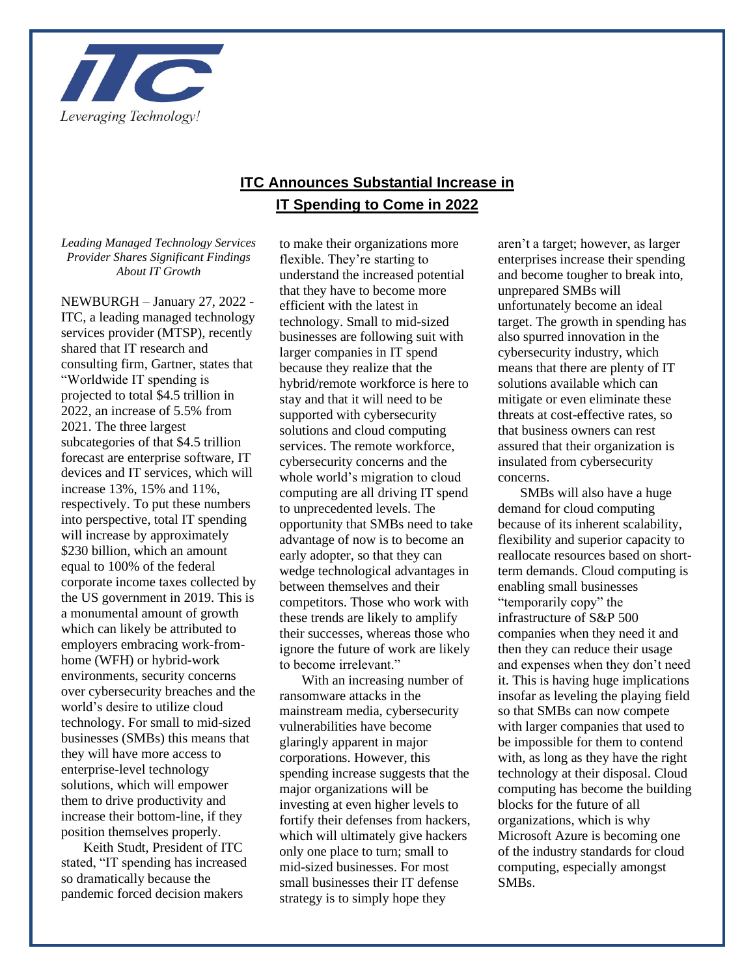

## **ITC Announces Substantial Increase in IT Spending to Come in 2022**

## *Leading Managed Technology Services Provider Shares Significant Findings About IT Growth*

NEWBURGH – January 27, 2022 - ITC, a leading managed technology services provider (MTSP), recently shared that IT research and consulting firm, Gartner, states that "Worldwide IT spending is projected to total \$4.5 trillion in 2022, an increase of 5.5% from 2021. The three largest subcategories of that \$4.5 trillion forecast are enterprise software, IT devices and IT services, which will increase 13%, 15% and 11%, respectively. To put these numbers into perspective, total IT spending will increase by approximately \$230 billion, which an amount equal to 100% of the federal corporate income taxes collected by the US government in 2019. This is a monumental amount of growth which can likely be attributed to employers embracing work-fromhome (WFH) or hybrid-work environments, security concerns over cybersecurity breaches and the world's desire to utilize cloud technology. For small to mid-sized businesses (SMBs) this means that they will have more access to enterprise-level technology solutions, which will empower them to drive productivity and increase their bottom-line, if they position themselves properly.

Keith Studt, President of ITC stated, "IT spending has increased so dramatically because the pandemic forced decision makers

to make their organizations more flexible. They're starting to understand the increased potential that they have to become more efficient with the latest in technology. Small to mid-sized businesses are following suit with larger companies in IT spend because they realize that the hybrid/remote workforce is here to stay and that it will need to be supported with cybersecurity solutions and cloud computing services. The remote workforce, cybersecurity concerns and the whole world's migration to cloud computing are all driving IT spend to unprecedented levels. The opportunity that SMBs need to take advantage of now is to become an early adopter, so that they can wedge technological advantages in between themselves and their competitors. Those who work with these trends are likely to amplify their successes, whereas those who ignore the future of work are likely to become irrelevant."

With an increasing number of ransomware attacks in the mainstream media, cybersecurity vulnerabilities have become glaringly apparent in major corporations. However, this spending increase suggests that the major organizations will be investing at even higher levels to fortify their defenses from hackers, which will ultimately give hackers only one place to turn; small to mid-sized businesses. For most small businesses their IT defense strategy is to simply hope they

aren't a target; however, as larger enterprises increase their spending and become tougher to break into, unprepared SMBs will unfortunately become an ideal target. The growth in spending has also spurred innovation in the cybersecurity industry, which means that there are plenty of IT solutions available which can mitigate or even eliminate these threats at cost-effective rates, so that business owners can rest assured that their organization is insulated from cybersecurity concerns.

SMBs will also have a huge demand for cloud computing because of its inherent scalability, flexibility and superior capacity to reallocate resources based on shortterm demands. Cloud computing is enabling small businesses "temporarily copy" the infrastructure of S&P 500 companies when they need it and then they can reduce their usage and expenses when they don't need it. This is having huge implications insofar as leveling the playing field so that SMBs can now compete with larger companies that used to be impossible for them to contend with, as long as they have the right technology at their disposal. Cloud computing has become the building blocks for the future of all organizations, which is why Microsoft Azure is becoming one of the industry standards for cloud computing, especially amongst SMBs.